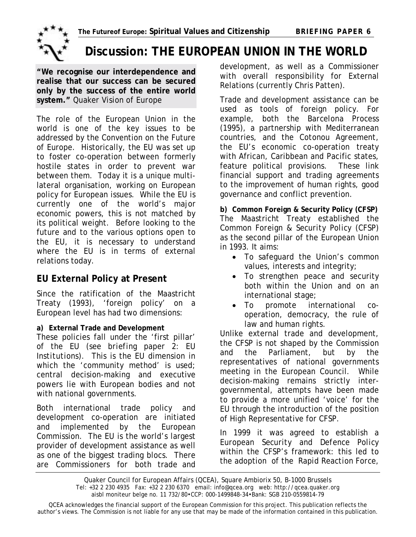

# **Discussion: THE EUROPEAN UNION IN THE WORLD**

**"We recognise our interdependence and realise that our success can be secured only by the success of the entire world system."** *Quaker Vision of Europe* Trade and development assistance can be

The role of the European Union in the world is one of the key issues to be addressed by the Convention on the Future of Europe. Historically, the EU was set up to foster co-operation between formerly hostile states in order to prevent war between them. Today it is a unique multilateral organisation, working on European policy for European issues. While the EU is currently one of the world's major economic powers, this is not matched by its political weight. Before looking to the future and to the various options open to the EU, it is necessary to understand where the EU is in terms of external relations today.

## **EU External Policy at Present**

Since the ratification of the Maastricht Treaty (1993), 'foreign policy' on a European level has had two dimensions:

These policies fall under the 'first pillar' of the EU (*see briefing paper 2: EU Institutions*). This is the EU dimension in which the 'community method' is used; central decision-making and executive powers lie with European bodies and not with national governments.

Both international trade policy and development co-operation are initiated and implemented by the European Commission. The EU is the world's largest provider of development assistance as well as one of the biggest trading blocs. There are Commissioners for both trade and development, as well as a Commissioner with overall responsibility for External Relations (currently Chris Patten).

used as tools of foreign policy. For example, both the *Barcelona Process* (1995), a partnership with Mediterranean countries, and the *Cotonou Agreement*, the EU's economic co-operation treaty with African, Caribbean and Pacific states, feature political provisions. These link financial support and trading agreements to the improvement of human rights, good governance and conflict prevention.

**b) Common Foreign & Security Policy (CFSP)**  The Maastricht Treaty established the *Common Foreign & Security Policy* (CFSP) as the second pillar of the European Union in 1993. It aims:

- To safeguard the Union's common values, interests and integrity;
- To strengthen peace and security both within the Union and on an international stage;
- To promote international cooperation, democracy, the rule of

law and human rights. **a) External Trade and Development** Unlike external trade and development, the CFSP is not shaped by the Commission and the Parliament, but by the representatives of national governments meeting in the European Council. While decision-making remains strictly intergovernmental, attempts have been made to provide a more unified 'voice' for the EU through the introduction of the position of High Representative for CFSP.

> In 1999 it was agreed to establish a *European Security and Defence Policy* within the CFSP's framework: this led to the adoption of the *Rapid Reaction Force*,

Quaker Council for European Affairs (QCEA), Square Ambiorix 50, B-1000 Brussels Tel: +32 2 230 4935 Fax: +32 2 230 6370 email: info@qcea.org web: http://qcea.quaker.org aisbl moniteur belge no. 11 732/80•CCP: 000-1499848-34•Bank: SGB 210-0559814-79

QCEA acknowledges the financial support of the European Commission for this project. This publication reflects the author's views. The Commission is not liable for any use that may be made of the information contained in this publication.